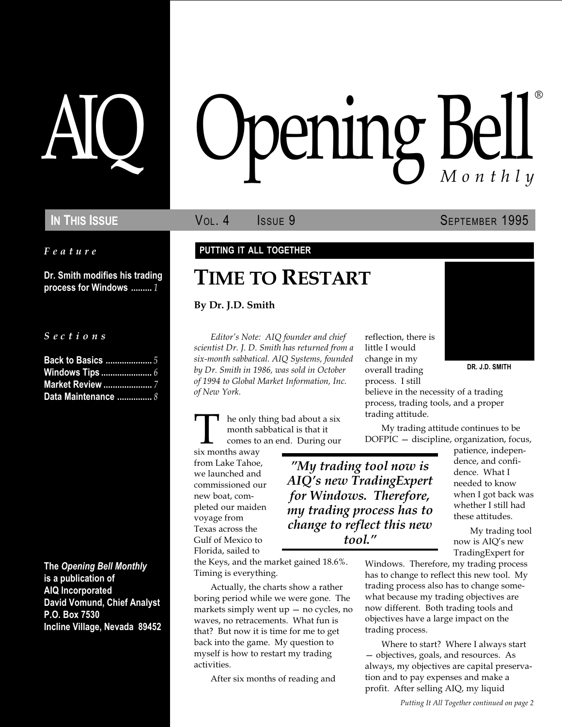Feature

Dr. Smith modifies his trading process for Windows ......... 1

S e c t i o n s

| <b>Back to Basics </b> 5 |  |
|--------------------------|--|
| <b>Windows Tips </b> 6   |  |
| <b>Market Review </b> 7  |  |
| Data Maintenance  8      |  |

The Opening Bell Monthly is a publication of AIQ Incorporated David Vomund, Chief Analyst P.O. Box 7530 Incline Village, Nevada 89452

# pening Bel Monthly ®

In This Issue **SEPTEMBER 1995** Vol. 4 **SEPTEMBER 1995** 

### PUTTING IT ALL TOGETHER

### TIME TO RESTART

### By Dr. J.D. Smith

Editor's Note: AIQ founder and chief scientist Dr. J. D. Smith has returned from a six-month sabbatical. AIQ Systems, founded by Dr. Smith in 1986, was sold in October of 1994 to Global Market Information, Inc. of New York.

he only thing bad about a six month sabbatical is that it comes to an end. During our

six months away from Lake Tahoe, we launched and commissioned our new boat, completed our maiden voyage from Texas across the Gulf of Mexico to Florida, sailed to

tool.

the Keys, and the market gained 18.6%. Timing is everything.

Actually, the charts show a rather boring period while we were gone. The markets simply went  $up$  – no cycles, no waves, no retracements. What fun is that? But now it is time for me to get back into the game. My question to myself is how to restart my trading activities.

After six months of reading and

reflection, there is little I would change in my overall trading process. I still



DR. J.D. SMITH

believe in the necessity of a trading process, trading tools, and a proper trading attitude.

My trading attitude continues to be  $DOFPIC - discipline, organization, focus,$ 

My trading tool now is AIQ's new TradingExpert for Windows. Therefore, my trading process has to change to reflect this new

patience, independence, and confidence. What I needed to know when I got back was whether I still had these attitudes.

My trading tool now is AIQ's new TradingExpert for

Windows. Therefore, my trading process has to change to reflect this new tool. My trading process also has to change somewhat because my trading objectives are now different. Both trading tools and objectives have a large impact on the trading process.

Where to start? Where I always start - objectives, goals, and resources. As always, my objectives are capital preservation and to pay expenses and make a profit. After selling AIQ, my liquid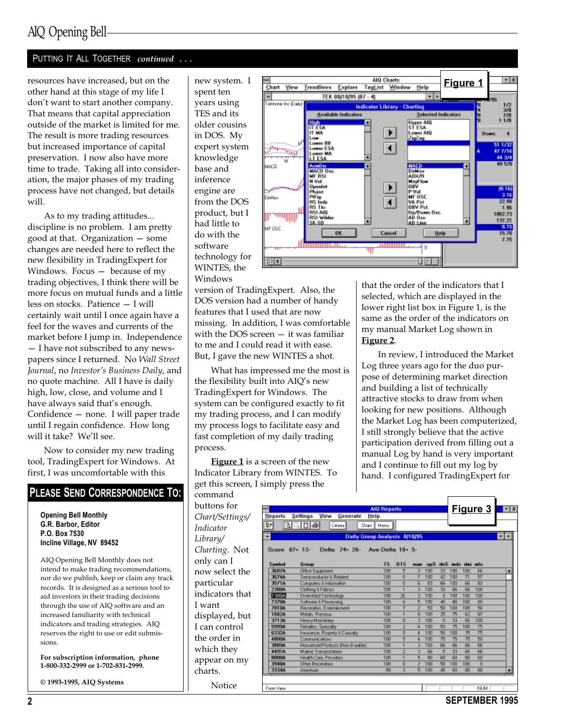### PUTTING IT ALL TOGETHER continued ...

resources have increased, but on the other hand at this stage of my life I don't want to start another company. That means that capital appreciation outside of the market is limited for me. The result is more trading resources but increased importance of capital preservation. I now also have more time to trade. Taking all into consideration, the major phases of my trading process have not changed, but details will.

As to my trading attitudes... discipline is no problem. I am pretty good at that. Organization  $-$  some changes are needed here to reflect the new flexibility in TradingExpert for Windows. Focus  $-$  because of my trading objectives, I think there will be more focus on mutual funds and a little less on stocks. Patience - I will certainly wait until I once again have a feel for the waves and currents of the market before I jump in. Independence - I have not subscribed to any newspapers since I returned. No Wall Street Journal, no Investor's Business Daily, and no quote machine. All I have is daily high, low, close, and volume and I

have always said that's enough. Confidence – none. I will paper trade until I regain confidence. How long will it take? We'll see.

Now to consider my new trading tool, TradingExpert for Windows. At first, I was uncomfortable with this

### PLEASE SEND CORRESPONDENCE TO:

Opening Bell Monthly G.R. Barbor, Editor P.O. Box 7530 Incline Village, NV 89452

AIQ Opening Bell Monthly does not intend to make trading recommendations, nor do we publish, keep or claim any track records. It is designed as a serious tool to aid investors in their trading decisions through the use of AIQ software and an increased familiarity with technical indicators and trading strategies. AIQ reserves the right to use or edit submissions.

For subscription information, phone 1-800-332-2999 or 1-702-831-2999.

© 1993-1995, AIQ Systems

new system. I spent ten years using TES and its older cousins in DOS. My expert system knowledge base and inference engine are from the DOS product, but I had little to do with the software technology for WINTES, the Windows



version of TradingExpert. Also, the DOS version had a number of handy features that I used that are now missing. In addition, I was comfortable with the DOS screen  $-$  it was familiar to me and I could read it with ease. But, I gave the new WINTES a shot.

What has impressed me the most is the flexibility built into AIQ's new TradingExpert for Windows. The system can be configured exactly to fit my trading process, and I can modify my process logs to facilitate easy and fast completion of my daily trading process.

**Figure 1** is a screen of the new Indicator Library from WINTES. To get this screen, I simply press the

command buttons for Chart/Settings/ Indicator Library/ Charting. Not only can I now select the particular indicators that I want displayed, but I can control the order in which they appear on my charts.

Notice

that the order of the indicators that I selected, which are displayed in the lower right list box in Figure 1, is the same as the order of the indicators on my manual Market Log shown in Figure 2.

In review, I introduced the Market Log three years ago for the duo purpose of determining market direction and building a list of technically attractive stocks to draw from when looking for new positions. Although the Market Log has been computerized, I still strongly believe that the active participation derived from filling out a manual Log by hand is very important and I continue to fill out my log by hand. I configured TradingExpert for

|                 |                                  | <b>AIO Reports</b>           |     |                         |     |              |     |                     | <u>Figure 3</u> | <b>FEE</b> |  |
|-----------------|----------------------------------|------------------------------|-----|-------------------------|-----|--------------|-----|---------------------|-----------------|------------|--|
| <b>Reports</b>  | Settings view Generate           | Help                         |     |                         |     |              |     |                     |                 |            |  |
| ņ,              | DIA DIA I<br>Oiteán              | Chart   Menu                 |     |                         |     |              |     |                     |                 |            |  |
| u               |                                  | Daily Group Analysis 8/18/95 |     |                         |     |              |     |                     |                 | . L        |  |
| Score $87 - 13$ | Delta 74+ 26- Ave Delta 10+ 5-   |                              |     |                         |     |              |     |                     |                 |            |  |
| Symbol          | Group                            | T\$                          | DTS | <b>DUD</b>              |     |              |     | upă de ando de info |                 |            |  |
| 35874           | Office Equipment                 | 100                          | 5   | $\overline{\mathbf{z}}$ | 100 | 33           | 100 | 100                 | 66              |            |  |
| 35746           | Seniconductor & Related          | 100                          | п   | T                       | 100 | 42           | 100 | 71                  | $\overline{57}$ |            |  |
| 35714           | Computers II Information         | 100                          | п   | Б                       | 83  | 66           | 100 | B6                  | R3              |            |  |
| <b>2300A</b>    | Clothing I: Fabrics              | 100                          | ٦   | 3                       | 100 | 33           | 66  | 66                  | 100             |            |  |
| 73904           | Diversified Technology           | 100                          | 26  |                         | 100 | $\eta$       | 100 | 100                 | 100             |            |  |
| 7370A           | Soltware I: Processing           | 100                          | 6   | Б                       | 100 | 41           | 80  | 100                 | BD              |            |  |
| 7816A           | Recreation, Entertainment        | 100                          | 7   | z                       | 50  | 50           | 100 | 100                 | 50              |            |  |
| 10426           | Metalo, Precious                 | 100                          |     | B                       | 100 | ऊ            | 75  | 62                  | RT              |            |  |
| 37134           | Heavy Machinery                  | 100                          | σ   |                         | 100 | $\eta$       | 33  | 66                  | 100             |            |  |
| 59994           | Retailers, Specialty             | 100                          | z   | d                       | 100 | 50           | 75  | 100                 | 75              |            |  |
| 63326           | Insurance, Property & Casualty   | 100                          | O   | a.                      | 100 | 50           | 100 | 75                  | 75              |            |  |
| 49004           | Communications                   | 100                          | 5   | a.                      | 100 | 75           | 75  | 75                  | 50              |            |  |
| 30856           | Household Products (Non-Durable) | 100                          |     | $\overline{\mathbf{3}}$ | 100 | 66           | 66  | 所                   | 跖               |            |  |
| 44914           | Maine Transportation             | 100                          | Z   | <b>a</b>                | 66  | $\mathbf{u}$ | 33  | 所                   | 跖               |            |  |
| <b>B000A</b>    | Health Care, Providers           | 100                          |     | Б                       | 80  | R0           | R0  | 80                  | FD              |            |  |
| 39486           | Other Recreation                 | 100                          | O   | ż                       | 100 | 50           | 100 | 100                 | $\overline{D}$  |            |  |
| 33344           | Akaninum                         | 89                           | ā   | Б                       | 100 | 40           | 60  | 80                  | BD              |            |  |
|                 |                                  |                              |     |                         |     |              |     |                     |                 |            |  |
| Form View       |                                  |                              |     |                         |     |              |     |                     | <b>NUM</b>      |            |  |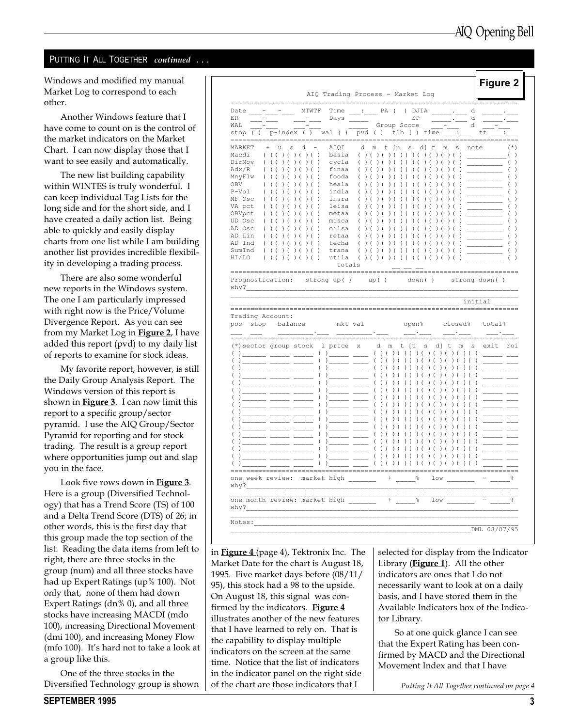#### PUTTING IT ALL TOGETHER continued . . .

Windows and modified my manual Market Log to correspond to each other.

Another Windows feature that I have come to count on is the control of the market indicators on the Market Chart. I can now display those that I want to see easily and automatically.

The new list building capability within WINTES is truly wonderful. I can keep individual Tag Lists for the long side and for the short side, and I have created a daily action list. Being able to quickly and easily display charts from one list while I am building another list provides incredible flexibility in developing a trading process.

There are also some wonderful new reports in the Windows system. The one I am particularly impressed with right now is the Price/Volume Divergence Report. As you can see from my Market Log in **Figure 2**, I have added this report (pvd) to my daily list of reports to examine for stock ideas.

My favorite report, however, is still the Daily Group Analysis Report. The Windows version of this report is shown in **Figure 3**. I can now limit this report to a specific group/sector pyramid. I use the AIQ Group/Sector Pyramid for reporting and for stock trading. The result is a group report where opportunities jump out and slap you in the face.

Look five rows down in Figure 3. Here is a group (Diversified Technology) that has a Trend Score (TS) of 100 and a Delta Trend Score (DTS) of 26; in other words, this is the first day that this group made the top section of the list. Reading the data items from left to right, there are three stocks in the group (num) and all three stocks have had up Expert Ratings (up% 100). Not only that, none of them had down Expert Ratings (dn% 0), and all three stocks have increasing MACDI (mdo 100), increasing Directional Movement (dmi 100), and increasing Money Flow (mfo 100). It's hard not to take a look at a group like this.

One of the three stocks in the Diversified Technology group is shown

| Date -                                                    |                                                                                                                      |                                                   | MTWTF                               |                                                                                                                                                                                                                                                                                                                                                                                                                                                                                 |                                           | Time : PA ( ) DJIA . d                           |                                    |                                      |                        |                                                                                                                                                                                                                                                                                                                                                                                                                       |                                               |                          |
|-----------------------------------------------------------|----------------------------------------------------------------------------------------------------------------------|---------------------------------------------------|-------------------------------------|---------------------------------------------------------------------------------------------------------------------------------------------------------------------------------------------------------------------------------------------------------------------------------------------------------------------------------------------------------------------------------------------------------------------------------------------------------------------------------|-------------------------------------------|--------------------------------------------------|------------------------------------|--------------------------------------|------------------------|-----------------------------------------------------------------------------------------------------------------------------------------------------------------------------------------------------------------------------------------------------------------------------------------------------------------------------------------------------------------------------------------------------------------------|-----------------------------------------------|--------------------------|
| ER                                                        |                                                                                                                      |                                                   |                                     |                                                                                                                                                                                                                                                                                                                                                                                                                                                                                 |                                           |                                                  | SP                                 |                                      |                        | $\frac{1}{1-\frac{1}{1-\frac{1}{1-\frac{1}{1-\frac{1}{1-\frac{1}{1-\frac{1}{1-\frac{1}{1-\frac{1}{1-\frac{1}{1-\frac{1}{1-\frac{1}{1-\frac{1}{1-\frac{1}{1-\frac{1}{1-\frac{1}{1-\frac{1}{1-\frac{1}{1-\frac{1}{1-\frac{1}{1-\frac{1}{1-\frac{1}{1-\frac{1}{1-\frac{1}{1-\frac{1}{1-\frac{1}{1-\frac{1}{1-\frac{1}{1-\frac{1}{1-\frac{1}{1-\frac{1}{1-\frac{1}{1-\frac{1}{1-\frac{1}{1-\frac{1}{1-\frac{1}{1-\frac{1$ |                                               |                          |
| WAL                                                       |                                                                                                                      |                                                   |                                     |                                                                                                                                                                                                                                                                                                                                                                                                                                                                                 |                                           | Group Score                                      |                                    |                                      |                        |                                                                                                                                                                                                                                                                                                                                                                                                                       | d                                             |                          |
| stop ( )                                                  |                                                                                                                      |                                                   |                                     | $p$ -index () wal () $pvd$ () $tlb$ () $time$ :                                                                                                                                                                                                                                                                                                                                                                                                                                 |                                           |                                                  |                                    |                                      |                        |                                                                                                                                                                                                                                                                                                                                                                                                                       |                                               |                          |
| MARKET                                                    | ū                                                                                                                    | s<br>d                                            |                                     | AIQI                                                                                                                                                                                                                                                                                                                                                                                                                                                                            | d                                         | ſu<br>m<br>ŧ                                     | s                                  | d ]<br>$\mathsf{t}$                  | m                      | S                                                                                                                                                                                                                                                                                                                                                                                                                     | note                                          | $(\star)$                |
| Macdi                                                     | ( ) ( ) ( ) ( ) ( ) ( )                                                                                              |                                                   |                                     | basia                                                                                                                                                                                                                                                                                                                                                                                                                                                                           | ( ) ( ) ( )                               | $\lambda$<br>$\left($                            | (<br>$)$ (                         |                                      | ( ) ( ) ( ) ( )        |                                                                                                                                                                                                                                                                                                                                                                                                                       | $\left( \begin{array}{c} \end{array} \right)$ |                          |
| DirMov                                                    | $\left($<br>$\lambda$<br>$\left($                                                                                    | $\overline{(\ }$<br>$\lambda$<br>$\overline{ }$   | $\lambda$<br>$\lambda$              | cycla                                                                                                                                                                                                                                                                                                                                                                                                                                                                           | $\lambda$<br>$\left($<br>$\overline{(\ }$ | $\lambda$                                        | $\lambda$<br>$\lambda$             | $\lambda$<br>$\lambda$               | $\overline{(\ }$<br>(  | $\lambda$                                                                                                                                                                                                                                                                                                                                                                                                             |                                               | $\left($                 |
| $\text{Adx/R}$                                            | €.                                                                                                                   |                                                   |                                     | finaa                                                                                                                                                                                                                                                                                                                                                                                                                                                                           |                                           |                                                  |                                    |                                      |                        |                                                                                                                                                                                                                                                                                                                                                                                                                       |                                               |                          |
| MnyFlw                                                    | $\left($                                                                                                             |                                                   | $\lambda$                           | fooda                                                                                                                                                                                                                                                                                                                                                                                                                                                                           | $\left($                                  |                                                  |                                    |                                      |                        |                                                                                                                                                                                                                                                                                                                                                                                                                       |                                               |                          |
| OBV                                                       | $\overline{(}$                                                                                                       |                                                   | $\lambda$                           | heala                                                                                                                                                                                                                                                                                                                                                                                                                                                                           |                                           |                                                  |                                    |                                      |                        |                                                                                                                                                                                                                                                                                                                                                                                                                       |                                               |                          |
| $P-Vo1$                                                   | $\left($                                                                                                             |                                                   | $\lambda$                           | indla                                                                                                                                                                                                                                                                                                                                                                                                                                                                           |                                           |                                                  |                                    |                                      |                        |                                                                                                                                                                                                                                                                                                                                                                                                                       |                                               |                          |
| MF Osc                                                    | $\left($                                                                                                             |                                                   |                                     | insra                                                                                                                                                                                                                                                                                                                                                                                                                                                                           | $\left($                                  |                                                  |                                    |                                      |                        |                                                                                                                                                                                                                                                                                                                                                                                                                       |                                               |                          |
| VA pct                                                    | $\left($                                                                                                             |                                                   | $\lambda$                           | leisa                                                                                                                                                                                                                                                                                                                                                                                                                                                                           | $\left($                                  |                                                  |                                    |                                      |                        |                                                                                                                                                                                                                                                                                                                                                                                                                       |                                               |                          |
| OBVpct                                                    | €.                                                                                                                   |                                                   |                                     | metaa                                                                                                                                                                                                                                                                                                                                                                                                                                                                           | $\left($                                  |                                                  |                                    |                                      |                        |                                                                                                                                                                                                                                                                                                                                                                                                                       |                                               |                          |
| UD Osc                                                    | $\left($                                                                                                             |                                                   | $\lambda$                           | misca                                                                                                                                                                                                                                                                                                                                                                                                                                                                           | $\left($                                  |                                                  |                                    |                                      |                        |                                                                                                                                                                                                                                                                                                                                                                                                                       |                                               |                          |
| AD Osc<br>AD Lin                                          | $\left($                                                                                                             |                                                   | $\lambda$                           | oilsa<br>retaa                                                                                                                                                                                                                                                                                                                                                                                                                                                                  |                                           |                                                  |                                    |                                      |                        |                                                                                                                                                                                                                                                                                                                                                                                                                       |                                               |                          |
| AD Ind                                                    | $\left($<br>$\left($<br>$\lambda$<br>$\overline{ }$                                                                  |                                                   | $\lambda$<br>$\lambda$<br>$\lambda$ | techa                                                                                                                                                                                                                                                                                                                                                                                                                                                                           | $\overline{ }$<br>$( )$ (                 |                                                  | $\lambda$<br>$\lambda$             | $\lambda$<br>$\lambda$<br>$\sqrt{ }$ |                        | $\lambda$                                                                                                                                                                                                                                                                                                                                                                                                             |                                               |                          |
| SumInd                                                    | $\left($<br>$\lambda$<br>$\overline{ }$<br>$\lambda$                                                                 | $\lambda$<br>$\overline{(\ }$<br>$\overline{(\ }$ | ( )                                 | trana                                                                                                                                                                                                                                                                                                                                                                                                                                                                           | ( ) ( )                                   | $\lambda$<br>$\overline{(\ }$<br>$\rightarrow$ ( | (<br>$\lambda$<br>$\overline{(\ }$ | (                                    | $\left($<br>$\lambda$  | $\lambda$                                                                                                                                                                                                                                                                                                                                                                                                             |                                               |                          |
| HI/LO                                                     | $( )$ (                                                                                                              |                                                   | $)$ ( ) ( )                         | utila                                                                                                                                                                                                                                                                                                                                                                                                                                                                           |                                           | ( ) ( ) ( ) ( ) ( ) ( )                          | (                                  | $)$ ( ) (                            | $)$ (                  |                                                                                                                                                                                                                                                                                                                                                                                                                       |                                               |                          |
|                                                           |                                                                                                                      |                                                   |                                     | totals                                                                                                                                                                                                                                                                                                                                                                                                                                                                          |                                           |                                                  |                                    |                                      |                        |                                                                                                                                                                                                                                                                                                                                                                                                                       |                                               |                          |
|                                                           |                                                                                                                      |                                                   |                                     | Prognostication: strong up() up()<br>________________                                                                                                                                                                                                                                                                                                                                                                                                                           |                                           |                                                  |                                    |                                      |                        |                                                                                                                                                                                                                                                                                                                                                                                                                       | down() strong down()<br>__ initial            |                          |
|                                                           |                                                                                                                      |                                                   |                                     | pos stop balance mkt val                                                                                                                                                                                                                                                                                                                                                                                                                                                        |                                           |                                                  | open%<br>$\frac{1}{2}$             |                                      |                        | closed%                                                                                                                                                                                                                                                                                                                                                                                                               |                                               | total%                   |
|                                                           | (*) sector group stock                                                                                               |                                                   |                                     | l price x d m                                                                                                                                                                                                                                                                                                                                                                                                                                                                   |                                           |                                                  | t [u                               | s                                    | d] t                   | $\mathop{\mathrm{m}}$                                                                                                                                                                                                                                                                                                                                                                                                 | s                                             | exit roi                 |
| $\overline{(\ }$                                          |                                                                                                                      |                                                   |                                     |                                                                                                                                                                                                                                                                                                                                                                                                                                                                                 |                                           |                                                  |                                    | ) ( ) (                              | (                      | $)$ ( ) ( )                                                                                                                                                                                                                                                                                                                                                                                                           |                                               |                          |
|                                                           |                                                                                                                      |                                                   |                                     | $\left(\begin{array}{ccc} 1 \end{array}\right)$ and $\left(\begin{array}{ccc} 1 \end{array}\right)$ and $\left(\begin{array}{ccc} 1 \end{array}\right)$ and $\left(\begin{array}{ccc} 1 \end{array}\right)$ and $\left(\begin{array}{ccc} 1 \end{array}\right)$ and $\left(\begin{array}{ccc} 1 \end{array}\right)$ and $\left(\begin{array}{ccc} 1 \end{array}\right)$ and $\left(\begin{array}{ccc} 1 \end{array}\right)$ and $\left(\begin{array}{ccc} 1 \end{array}\right)$ |                                           | ( )<br>$\left($<br>$\lambda$                     | $\lambda$<br>$\lambda$             |                                      | $\lambda$<br>$\lambda$ |                                                                                                                                                                                                                                                                                                                                                                                                                       | $\rightarrow$                                 |                          |
| (                                                         |                                                                                                                      |                                                   |                                     | $\left($<br>$\lambda$<br>$\frac{1}{1}$                                                                                                                                                                                                                                                                                                                                                                                                                                          |                                           | $\left($                                         |                                    |                                      |                        |                                                                                                                                                                                                                                                                                                                                                                                                                       |                                               |                          |
| $\overline{(\ }$                                          | فستنفث فتحتب فيعتب                                                                                                   |                                                   |                                     | $\left($<br>______ ____<br>$\lambda$                                                                                                                                                                                                                                                                                                                                                                                                                                            |                                           | $\left($<br>$\rightarrow$                        |                                    |                                      |                        |                                                                                                                                                                                                                                                                                                                                                                                                                       |                                               | $\overline{\phantom{a}}$ |
| $\overline{ }$                                            | <u> 1999 - Alban Alban III, primeira populației de la primeira primeira primeira primeira primeira primeira prim</u> |                                                   |                                     | $\left($<br>$\lambda$                                                                                                                                                                                                                                                                                                                                                                                                                                                           |                                           | $\overline{(}$<br>$\lambda$<br>$\overline{(}$    |                                    |                                      | $\lambda$              |                                                                                                                                                                                                                                                                                                                                                                                                                       |                                               |                          |
| $\overline{(\ }$                                          | <u> 1999 - Johann Barbara, martxa</u>                                                                                |                                                   |                                     | $\left($                                                                                                                                                                                                                                                                                                                                                                                                                                                                        | المستنب المستنب                           |                                                  |                                    |                                      |                        |                                                                                                                                                                                                                                                                                                                                                                                                                       |                                               |                          |
| (                                                         | فستستنفذ المستنفية المستنفذ                                                                                          |                                                   |                                     | $\left($                                                                                                                                                                                                                                                                                                                                                                                                                                                                        |                                           | $\overline{\phantom{a}}$                         |                                    |                                      |                        |                                                                                                                                                                                                                                                                                                                                                                                                                       |                                               | $\overline{\phantom{a}}$ |
| $\overline{(}$                                            | <u> 1999 - Jan James Jan Jan Jan</u>                                                                                 |                                                   | $\overline{ }$                      |                                                                                                                                                                                                                                                                                                                                                                                                                                                                                 |                                           |                                                  |                                    |                                      |                        |                                                                                                                                                                                                                                                                                                                                                                                                                       |                                               |                          |
| (                                                         | <u> 1989 - John Stone, amerikansk politiker</u>                                                                      |                                                   | $\overline{(}$                      |                                                                                                                                                                                                                                                                                                                                                                                                                                                                                 |                                           |                                                  |                                    |                                      |                        |                                                                                                                                                                                                                                                                                                                                                                                                                       |                                               |                          |
| (                                                         | _____ _____ ____                                                                                                     |                                                   | $\overline{(\ }$                    | $\lambda$<br>$\lambda$                                                                                                                                                                                                                                                                                                                                                                                                                                                          |                                           | (<br>$\overline{ }$                              |                                    |                                      |                        |                                                                                                                                                                                                                                                                                                                                                                                                                       |                                               |                          |
| $\overline{(}$                                            | <u> 1989 - Andrea Andre</u>                                                                                          |                                                   | $\overline{(}$                      | $\left($                                                                                                                                                                                                                                                                                                                                                                                                                                                                        |                                           |                                                  |                                    |                                      |                        |                                                                                                                                                                                                                                                                                                                                                                                                                       |                                               |                          |
| $\overline{(\ }$<br>(                                     | <u> 1989 - John Harrison, mars eta indian eta indian error</u>                                                       |                                                   |                                     | <u> 1999 - Andre</u><br>$\left($                                                                                                                                                                                                                                                                                                                                                                                                                                                |                                           | ( )<br>$\overline{ }$<br>$\lambda$               |                                    |                                      |                        |                                                                                                                                                                                                                                                                                                                                                                                                                       |                                               |                          |
| why?<br>Trading Account:<br>$\overline{(\ }$<br>$\lambda$ | <u> 1989 - Johann John Harry Harry Harry Harry Harry Harry Harry Harry Harry Harry Harry Harry Harry Harry Harry</u> |                                                   |                                     | ) ______ ____<br>$\left($<br>) ______ ____                                                                                                                                                                                                                                                                                                                                                                                                                                      |                                           | ( )<br>$\lambda$                                 |                                    |                                      |                        |                                                                                                                                                                                                                                                                                                                                                                                                                       |                                               |                          |
| $\overline{(\ }$                                          |                                                                                                                      |                                                   |                                     |                                                                                                                                                                                                                                                                                                                                                                                                                                                                                 |                                           | ( ) ( ) ( ) ( ) ( )                              |                                    | $)$ (<br>$)$ (                       | $)$ (                  | $)$ (                                                                                                                                                                                                                                                                                                                                                                                                                 |                                               |                          |
| $\overline{(\ }$                                          |                                                                                                                      |                                                   |                                     | $\left( \begin{array}{c} 0 \end{array} \right) \begin{array}{c} \begin{array}{c} \begin{array}{c} \end{array} \\ \end{array}$                                                                                                                                                                                                                                                                                                                                                   |                                           |                                                  |                                    |                                      |                        |                                                                                                                                                                                                                                                                                                                                                                                                                       |                                               |                          |
| why?                                                      |                                                                                                                      |                                                   |                                     | one week review: market high                                                                                                                                                                                                                                                                                                                                                                                                                                                    |                                           |                                                  |                                    |                                      |                        | low                                                                                                                                                                                                                                                                                                                                                                                                                   |                                               |                          |

in **Figure 4** (page 4), Tektronix Inc. The Market Date for the chart is August 18, 1995. Five market days before (08/11/ 95), this stock had a 98 to the upside. On August 18, this signal was confirmed by the indicators. **Figure 4** illustrates another of the new features that I have learned to rely on. That is the capability to display multiple indicators on the screen at the same time. Notice that the list of indicators in the indicator panel on the right side of the chart are those indicators that I

selected for display from the Indicator Library (**Figure 1**). All the other indicators are ones that I do not necessarily want to look at on a daily basis, and I have stored them in the Available Indicators box of the Indicator Library.

So at one quick glance I can see that the Expert Rating has been confirmed by MACD and the Directional Movement Index and that I have

Putting It All Together continued on page 4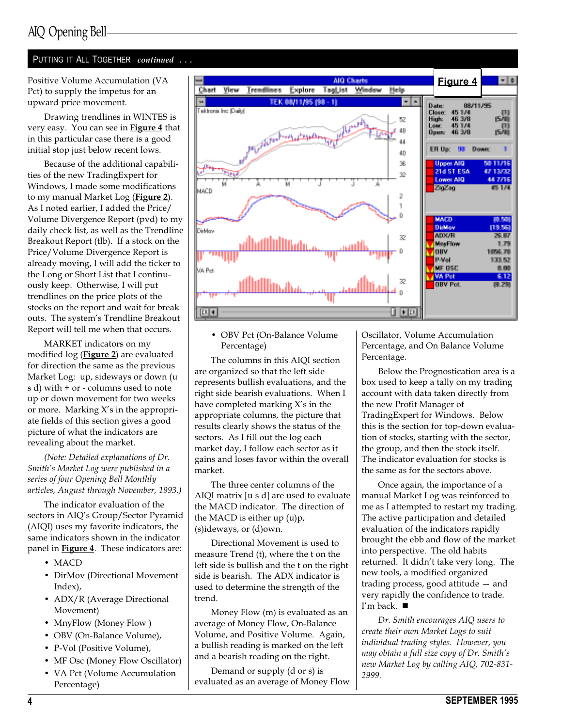### AIQ Opening Bell

### PUTTING IT ALL TOGETHER continued ...

Positive Volume Accumulation (VA Pct) to supply the impetus for an upward price movement.

Drawing trendlines in WINTES is very easy. You can see in Figure 4 that in this particular case there is a good initial stop just below recent lows.

Because of the additional capabilities of the new TradingExpert for Windows, I made some modifications to my manual Market Log (Figure 2). As I noted earlier, I added the Price/ Volume Divergence Report (pvd) to my daily check list, as well as the Trendline Breakout Report (tlb). If a stock on the Price/Volume Divergence Report is already moving, I will add the ticker to the Long or Short List that I continuously keep. Otherwise, I will put trendlines on the price plots of the stocks on the report and wait for break outs. The system's Trendline Breakout Report will tell me when that occurs.

MARKET indicators on my modified log (Figure 2) are evaluated for direction the same as the previous Market Log: up, sideways or down (u s d) with + or - columns used to note up or down movement for two weeks or more. Marking  $X$ 's in the appropriate fields of this section gives a good picture of what the indicators are revealing about the market.

(Note: Detailed explanations of Dr. Smith's Market Log were published in a series of four Opening Bell Monthly articles, August through November, 1993.)

The indicator evaluation of the sectors in AIQ's Group/Sector Pyramid (AIQI) uses my favorite indicators, the same indicators shown in the indicator panel in **Figure 4**. These indicators are:

- $\bullet$  MACD
- DirMov (Directional Movement Index),
- ADX/R (Average Directional Movement)
- MnyFlow (Money Flow)
- OBV (On-Balance Volume),
- P-Vol (Positive Volume),
- MF Osc (Money Flow Oscillator)
- VA Pct (Volume Accumulation Percentage)



### OBV Pct (On-Balance Volume Percentage)

The columns in this AIQI section are organized so that the left side represents bullish evaluations, and the right side bearish evaluations. When I have completed marking  $X$ 's in the appropriate columns, the picture that results clearly shows the status of the sectors. As I fill out the log each market day, I follow each sector as it gains and loses favor within the overall market.

The three center columns of the AIQI matrix [u s d] are used to evaluate the MACD indicator. The direction of the MACD is either up (u)p, (s)ideways, or (d)own.

Directional Movement is used to measure Trend (t), where the t on the left side is bullish and the t on the right side is bearish. The ADX indicator is used to determine the strength of the trend.

Money Flow (m) is evaluated as an average of Money Flow, On-Balance Volume, and Positive Volume. Again, a bullish reading is marked on the left and a bearish reading on the right.

Demand or supply (d or s) is evaluated as an average of Money Flow Oscillator, Volume Accumulation Percentage, and On Balance Volume Percentage.

Below the Prognostication area is a box used to keep a tally on my trading account with data taken directly from the new Profit Manager of TradingExpert for Windows. Below this is the section for top-down evaluation of stocks, starting with the sector, the group, and then the stock itself. The indicator evaluation for stocks is the same as for the sectors above.

Once again, the importance of a manual Market Log was reinforced to me as I attempted to restart my trading. The active participation and detailed evaluation of the indicators rapidly brought the ebb and flow of the market into perspective. The old habits returned. It didn't take very long. The new tools, a modified organized trading process, good attitude  $-$  and very rapidly the confidence to trade. I'm back.  $\blacksquare$ 

Dr. Smith encourages AIQ users to create their own Market Logs to suit individual trading styles. However, you may obtain a full size copy of  $Dr$ . Smith's new Market Log by calling AIQ, 702-831- 2999.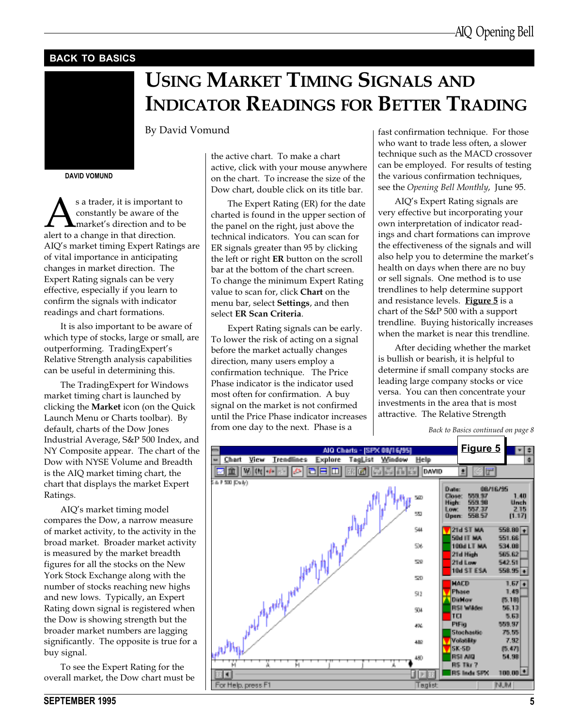### BACK TO BASICS

## USING MARKET TIMING SIGNALS AND INDICATOR READINGS FOR BETTER TRADING

By David Vomund

DAVID VOMUND

s a trader, it is important to<br>constantly be aware of the<br>alert to a change in that direction. constantly be aware of the market's direction and to be alert to a change in that direction. AIQ's market timing Expert Ratings are of vital importance in anticipating changes in market direction. The Expert Rating signals can be very effective, especially if you learn to confirm the signals with indicator readings and chart formations.

It is also important to be aware of which type of stocks, large or small, are outperforming. TradingExpert's Relative Strength analysis capabilities can be useful in determining this.

The TradingExpert for Windows market timing chart is launched by clicking the Market icon (on the Quick Launch Menu or Charts toolbar). By default, charts of the Dow Jones Industrial Average, S&P 500 Index, and NY Composite appear. The chart of the Dow with NYSE Volume and Breadth is the AIQ market timing chart, the chart that displays the market Expert Ratings.

AIQ's market timing model compares the Dow, a narrow measure of market activity, to the activity in the broad market. Broader market activity is measured by the market breadth figures for all the stocks on the New York Stock Exchange along with the number of stocks reaching new highs and new lows. Typically, an Expert Rating down signal is registered when the Dow is showing strength but the broader market numbers are lagging significantly. The opposite is true for a buy signal.

To see the Expert Rating for the overall market, the Dow chart must be the active chart. To make a chart active, click with your mouse anywhere on the chart. To increase the size of the Dow chart, double click on its title bar.

The Expert Rating (ER) for the date charted is found in the upper section of the panel on the right, just above the technical indicators. You can scan for ER signals greater than 95 by clicking the left or right ER button on the scroll bar at the bottom of the chart screen. To change the minimum Expert Rating value to scan for, click Chart on the menu bar, select Settings, and then select ER Scan Criteria.

Expert Rating signals can be early. To lower the risk of acting on a signal before the market actually changes direction, many users employ a confirmation technique. The Price Phase indicator is the indicator used most often for confirmation. A buy signal on the market is not confirmed until the Price Phase indicator increases from one day to the next. Phase is a

fast confirmation technique. For those who want to trade less often, a slower technique such as the MACD crossover can be employed. For results of testing the various confirmation techniques, see the Opening Bell Monthly, June 95.

AIQ's Expert Rating signals are very effective but incorporating your own interpretation of indicator readings and chart formations can improve the effectiveness of the signals and will also help you to determine the market's health on days when there are no buy or sell signals. One method is to use trendlines to help determine support and resistance levels. Figure 5 is a chart of the S&P 500 with a support trendline. Buying historically increases when the market is near this trendline.

After deciding whether the market is bullish or bearish, it is helpful to determine if small company stocks are leading large company stocks or vice versa. You can then concentrate your investments in the area that is most attractive. The Relative Strength



Back to Basics continued on page 8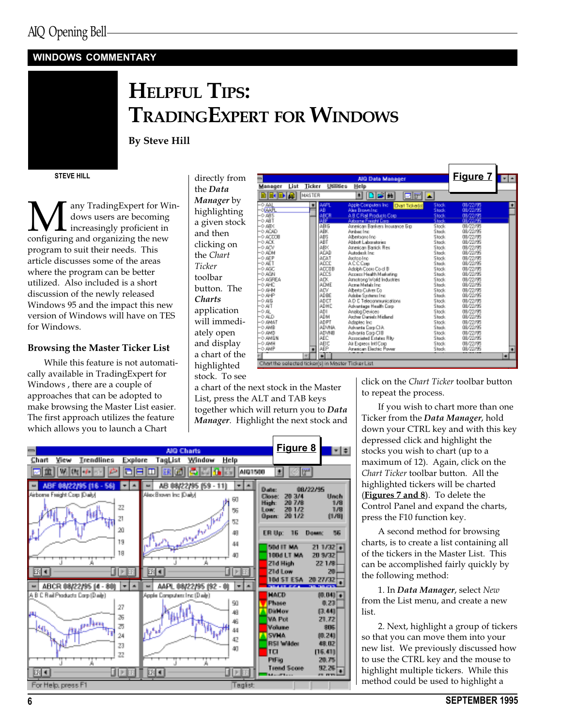### WINDOWS COMMENTARY



## HELPFUL TIPS: TRADINGEXPERT FOR WINDOWS

By Steve Hill

STEVE HILL

**M** any TradingExpert for Win-<br>dows users are becoming<br>configuring and organizing the new dows users are becoming increasingly proficient in program to suit their needs. This article discusses some of the areas where the program can be better utilized. Also included is a short discussion of the newly released Windows 95 and the impact this new version of Windows will have on TES for Windows.

### Browsing the Master Ticker List

While this feature is not automatically available in TradingExpert for Windows , there are a couple of approaches that can be adopted to make browsing the Master List easier. The first approach utilizes the feature which allows you to launch a Chart

a chart of the next stock in the Master List, press the ALT and TAB keys together which will return you to Data Manager. Highlight the next stock and



|                 |      |               |                        |              |                                                    |                | Figure 7 -- |   |
|-----------------|------|---------------|------------------------|--------------|----------------------------------------------------|----------------|-------------|---|
|                 |      |               |                        |              | AIO Data Manager                                   |                |             |   |
| lanaoer         | List | Ticker        |                        | USES         | Help                                               |                |             |   |
|                 | D W  | <b>NASTER</b> |                        |              | 旧居前<br>회<br>eri                                    |                |             |   |
|                 |      |               |                        | AAFL         | Apple Computers Inc.<br><b>Diart Tickeriel</b>     | Stock          | 09/22/30    |   |
| 飍               |      |               | AB                     |              | Alex Brown Inc.                                    | Stack          | 08/22/95    |   |
| <b>ABS</b>      |      |               |                        | ABCR         | A.B.C.Rail Products Corp.                          | Stock<br>Stack | 09/22/35    |   |
| > ABT           |      |               |                        |              | Aldoorne Freight Corp.                             |                |             |   |
| <b>&gt; ABX</b> |      |               |                        | 点刷石          | American Bankers Insurance Elio                    | Stock:         | 09/22/95    |   |
| ACAD            |      |               |                        | ABK          | Anbec Inc.                                         | Stack          | 08/22/95    |   |
| ACDOB           |      |               |                        | ABS          | Albertsons Inc.                                    | Stock          | 09/22/95    |   |
| > ACK           |      |               |                        | ABT          | Abbot Laboratories                                 | Stack          | 08/22/95    |   |
| <b>ADI</b>      |      |               |                        | ARK          | American Banick Res                                | Stock          | 09/22/95    |   |
| > ADM           |      |               |                        | <b>ACAD</b>  | Autodesk Inc.                                      | Stack          | 08/22/95    |   |
| <b>AEP</b>      |      |               |                        | <b>AEAT</b>  | Aactoo Inc.                                        | Stock          | 08/22/95    |   |
| >AET            |      |               |                        | ADCC         | ACCC <sub>pt</sub>                                 | Stack          | 08/22/95    |   |
| <b>AGC</b>      |      |               |                        | <b>ADCUB</b> | Adolph Cope Co of B                                | Stock          | 08/22/95    |   |
| > AGN           |      |               |                        | <b>ADCS</b>  | Accept Health Marketing                            | Stack          | 08/22/95    |   |
| <b>AGPEA</b>    |      |               |                        | ADK.         | Amstrong Wold Industries                           | Stock          | 08/22/95    |   |
| >AHC            |      |               |                        | ADME         | Azme Metabling                                     | Stack          | 08/22/95    |   |
| ина (           |      |               |                        | <b>ADV</b>   | Alberto Culver Do                                  | Stock          | 08/22/95    |   |
| <b>AHP</b>      |      |               |                        | ADBE         | Adobe Systems Inc.                                 | Stack          | 08/22/95    |   |
| > 46            |      |               |                        | <b>ADCT</b>  | A.D. E. Telecommunications                         | Stock          | 09/22/95    |   |
| >AIT            |      |               |                        | ADHC         | Advantage Health Corp.                             | Stack.         | 08/22/95    |   |
| 風               |      |               |                        | ADI.         | Analog Devices                                     | Stock:         | 09/22/95    |   |
| <b>ALD</b>      |      |               |                        | ADM          | Archer Daniels Midland                             | Stack          | 08/22/95    |   |
| <b>TAMA</b>     |      |               |                        | <b>ADPT</b>  | Adapted Inc.                                       | Stock:         | 09/22/95    |   |
| > ANB           |      |               |                        | <b>ADVNA</b> | Advanta Corp CIA                                   | Stack.         | 08/22/95    |   |
| <b>SAMD</b>     |      |               |                        | <b>ADVMB</b> | Advanta Corp CIB                                   | Stock          | 09/22/95    |   |
| <b>ANGN</b>     |      |               |                        | AEC          | Annociated Extates Rity                            | Stack          | 08/22/95    |   |
| > дын           |      |               |                        | AFIC         | Air Express Inti Corp.                             | Stock:         | 09/22/95    |   |
| AMP             |      |               |                        | AEP          | American Electric Power                            | Stack          | 08/22/95    |   |
|                 |      | W             | $\left  \cdot \right $ |              |                                                    |                |             | ≖ |
|                 |      |               |                        |              |                                                    |                |             |   |
|                 |      |               |                        |              | hart the selected ticker's) in Master Ticker List. |                |             |   |

click on the Chart Ticker toolbar button to repeat the process.

If you wish to chart more than one Ticker from the Data Manager, hold down your CTRL key and with this key depressed click and highlight the stocks you wish to chart (up to a maximum of 12). Again, click on the Chart Ticker toolbar button. All the highlighted tickers will be charted (Figures 7 and 8). To delete the Control Panel and expand the charts, press the F10 function key.

A second method for browsing charts, is to create a list containing all of the tickers in the Master List. This can be accomplished fairly quickly by the following method:

1. In Data Manager, select New from the List menu, and create a new list.

2. Next, highlight a group of tickers so that you can move them into your new list. We previously discussed how to use the CTRL key and the mouse to highlight multiple tickers. While this method could be used to highlight a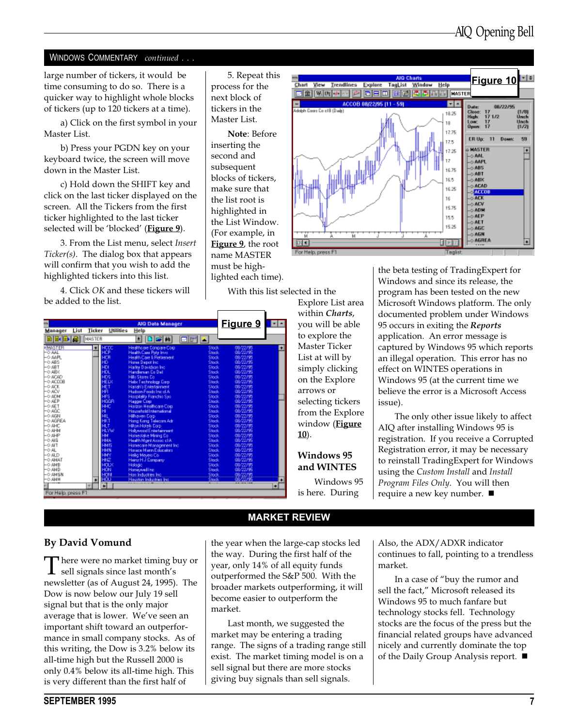### WINDOWS COMMENTARY continued . . .

large number of tickers, it would be time consuming to do so. There is a quicker way to highlight whole blocks of tickers (up to 120 tickers at a time).

a) Click on the first symbol in your Master List.

b) Press your PGDN key on your keyboard twice, the screen will move down in the Master List.

c) Hold down the SHIFT key and click on the last ticker displayed on the screen. All the Tickers from the first ticker highlighted to the last ticker selected will be 'blocked' (Figure 9).

3. From the List menu, select Insert Ticker(s). The dialog box that appears will confirm that you wish to add the highlighted tickers into this list.

4. Click OK and these tickers will be added to the list.

5. Repeat this process for the next block of tickers in the Master List.

Note: Before inserting the second and subsequent blocks of tickers, make sure that the list root is highlighted in the List Window. (For example, in **Figure 9**, the root name MASTER must be highlighted each time).



Explore List area within Charts,

With this list selected in the

|                    |                     | AIO Data Manager               |       | <u>Figure 9</u> | ▬ |
|--------------------|---------------------|--------------------------------|-------|-----------------|---|
| Manager<br>List    | Ticker<br>Utilities | Help                           |       |                 |   |
|                    | <b>NASTER</b>       |                                |       |                 |   |
| la.                |                     | 日本語<br>회                       | ØM    |                 |   |
| <b>MASTER</b>      |                     | <b>Healthcale Conpare Colo</b> | Stock | 08/22/          |   |
| $-0.441$           |                     | Health Case Poly Inve          | Stack | 08/22/95        |   |
| -0.44円             |                     | Health Care & Retirement       | Stock | 09/22/95        |   |
| $-0.485$           |                     | Hanse Depot Inc.               | Stack | 08/22/95        |   |
| $-0.481$           |                     | Harley Davidson Inc.           | Stock | 08/22/30        |   |
| $-0.48\%$          |                     | Handenan Co Del                | Stack | 08/22/95        |   |
| $-0.4040$          |                     | <b>Hills Stores Co.</b>        | Stock | 08/22/30        |   |
| $-0.40008$         |                     | Helix Technology Corp.         | Stack | 08/22/95        |   |
| $-0.408$           |                     | Hartalv's Eintertainment       | Stock | 09/22/95        |   |
| HO ACV             |                     | Hudron Foods Inc cl A          | Stack | 08/22/95        |   |
| $-0.40M$           |                     | Hospitality Franchis Sys-      | Stock | 09/22/95        |   |
| -0 AEP             | <b>668</b>          | <b>Hagger Cost</b>             | Stack | 08/22/95        |   |
| $-0.45T$           |                     | Horizon Healthcare Corp.       | Stock | 09/22/90        |   |
| -0 AGC             |                     | Household International        | Stack | 08/22/95        |   |
| $-0.4694$          |                     | <b>Hillswein Corp.</b>         | Stock | 09/22/95        |   |
| -0 AGPEA           |                     | Hang Kang Telecan Adr          | Stack | 08/22/95        |   |
| $-0.4$ HC          |                     | <b>Hilton Hotels Corp.</b>     | Stock | 09/22/95        |   |
| 一つ 斗か              | 4 WW                | <b>Hallywood Entertainment</b> | Stack | 08/22/95        |   |
| -0 AHP             |                     | Homestake Mining Eq.           | Stock | 09/72/95        |   |
| $-0.46$            | 444                 | Health Mont Argoc cl A         | Stack | 08/22/95        |   |
| $-0.41$            | <b>MIS</b>          | Honecare Management Inc.       | Stock | 09/22/95        |   |
| $-0.41$            | <b>BUN</b>          | Horace Mann Educators          | Stack | 08/22/95        |   |
| $-0$ ALD           |                     | Helig Meyers Co.               | Stock | 09/22/95        |   |
| -0 ANAT            |                     | Henric H.J. Company            | Stack | 08/22/95        |   |
| -0 ANB             |                     | Hologic                        | Stock | 03/22/35        |   |
| -0 AND             |                     | <b>Hanewelling</b>             | Stack |                 |   |
| $-0.4M5N$          |                     | Hon Industries Inc.            | Stock | 19.7225         |   |
| -0 ANH             |                     | Houston Industries Inc.        | Stack |                 |   |
|                    | च                   |                                |       |                 | ≖ |
| For Help, press F1 |                     |                                |       |                 |   |

you will be able to explore the Master Ticker List at will by simply clicking on the Explore arrows or selecting tickers from the Explore window (**Figure**  $10$ ).

Windows 95 and WINTES

Windows 95 is here. During

the beta testing of TradingExpert for Windows and since its release, the program has been tested on the new Microsoft Windows platform. The only documented problem under Windows 95 occurs in exiting the Reports application. An error message is captured by Windows 95 which reports an illegal operation. This error has no effect on WINTES operations in Windows 95 (at the current time we believe the error is a Microsoft Access issue).

The only other issue likely to affect AIQ after installing Windows 95 is registration. If you receive a Corrupted Registration error, it may be necessary to reinstall TradingExpert for Windows using the Custom Install and Install Program Files Only. You will then require a new key number.  $\blacksquare$ 

### By David Vomund

**There were no market timing buy or**  $\perp$  sell signals since last month's newsletter (as of August 24, 1995). The Dow is now below our July 19 sell signal but that is the only major average that is lower. We've seen an important shift toward an outperformance in small company stocks. As of this writing, the Dow is 3.2% below its all-time high but the Russell 2000 is only 0.4% below its all-time high. This is very different than the first half of

the year when the large-cap stocks led the way. During the first half of the year, only 14% of all equity funds outperformed the S&P 500. With the broader markets outperforming, it will become easier to outperform the market.

MARKET REVIEW

Last month, we suggested the market may be entering a trading range. The signs of a trading range still exist. The market timing model is on a sell signal but there are more stocks giving buy signals than sell signals.

Also, the ADX/ADXR indicator continues to fall, pointing to a trendless market.

In a case of "buy the rumor and sell the fact," Microsoft released its Windows 95 to much fanfare but technology stocks fell. Technology stocks are the focus of the press but the financial related groups have advanced nicely and currently dominate the top of the Daily Group Analysis report.  $\blacksquare$